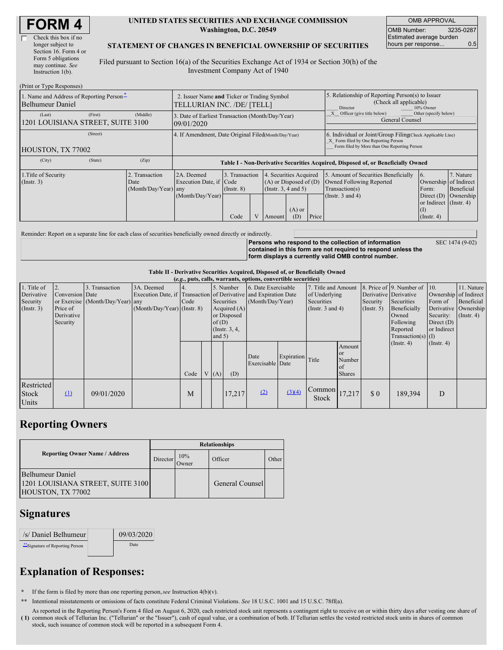| <b>FORM 4</b> |
|---------------|
|---------------|

| Check this box if no  |
|-----------------------|
| longer subject to     |
| Section 16. Form 4 or |
| Form 5 obligations    |
| may continue. See     |
| Instruction $1(b)$ .  |

 $(Print or True  $Dec$ )$ 

#### **UNITED STATES SECURITIES AND EXCHANGE COMMISSION Washington, D.C. 20549**

OMB APPROVAL OMB Number: 3235-0287 Estimated average burden hours per response... 0.5

### **STATEMENT OF CHANGES IN BENEFICIAL OWNERSHIP OF SECURITIES**

Filed pursuant to Section 16(a) of the Securities Exchange Act of 1934 or Section 30(h) of the Investment Company Act of 1940

| $(1 \text{ line of } 1 \text{ ypc } \text{ivopounds})$                                     |                                                                           |                                       |                                                                                  |      |                                                                                              |        |                                                                                                                                                    |                                                                                    |                                      |                                                                |           |
|--------------------------------------------------------------------------------------------|---------------------------------------------------------------------------|---------------------------------------|----------------------------------------------------------------------------------|------|----------------------------------------------------------------------------------------------|--------|----------------------------------------------------------------------------------------------------------------------------------------------------|------------------------------------------------------------------------------------|--------------------------------------|----------------------------------------------------------------|-----------|
| 1. Name and Address of Reporting Person <sup>*</sup><br>Belhumeur Daniel                   | 2. Issuer Name and Ticker or Trading Symbol<br>TELLURIAN INC. /DE/ [TELL] |                                       |                                                                                  |      |                                                                                              |        | 5. Relationship of Reporting Person(s) to Issuer<br>(Check all applicable)<br>10% Owner<br>Director                                                |                                                                                    |                                      |                                                                |           |
| (Last)<br>1201 LOUISIANA STREET, SUITE 3100                                                | (First)                                                                   | (Middle)                              | 3. Date of Earliest Transaction (Month/Day/Year)<br>09/01/2020                   |      |                                                                                              |        |                                                                                                                                                    | Other (specify below)<br>Officer (give title below)<br>General Counsel             |                                      |                                                                |           |
| HOUSTON, TX 77002                                                                          | 4. If Amendment, Date Original Filed Month/Day/Year)                      |                                       |                                                                                  |      |                                                                                              |        | 6. Individual or Joint/Group Filing(Check Applicable Line)<br>X Form filed by One Reporting Person<br>Form filed by More than One Reporting Person |                                                                                    |                                      |                                                                |           |
| (City)                                                                                     | (State)                                                                   | (Zip)                                 | Table I - Non-Derivative Securities Acquired, Disposed of, or Beneficially Owned |      |                                                                                              |        |                                                                                                                                                    |                                                                                    |                                      |                                                                |           |
| 1. Title of Security<br>2. Transaction<br>$($ Instr. 3 $)$<br>Date<br>(Month/Day/Year) any |                                                                           | 2A. Deemed<br>Execution Date, if Code | 3. Transaction<br>$($ Instr. $8)$                                                |      | . Securities Acquired<br>$\overline{4}$<br>$(A)$ or Disposed of $(D)$<br>(Instr. 3, 4 and 5) |        |                                                                                                                                                    | 5. Amount of Securities Beneficially<br>Owned Following Reported<br>Transaction(s) | 6.<br>Ownership of Indirect<br>Form: | 7. Nature<br>Beneficial                                        |           |
|                                                                                            |                                                                           |                                       | (Month/Day/Year)                                                                 | Code | $\overline{V}$                                                                               | Amount | $(A)$ or<br>(D)                                                                                                                                    | Price                                                                              | (Instr. $3$ and $4$ )                | Direct $(D)$<br>or Indirect (Instr. 4)<br>(1)<br>$($ Instr. 4) | Ownership |

Reminder: Report on a separate line for each class of securities beneficially owned directly or indirectly.

**Persons who respond to the collection of information contained in this form are not required to respond unless the form displays a currently valid OMB control number.** SEC 1474 (9-02)

**Table II - Derivative Securities Acquired, Disposed of, or Beneficially Owned**

| (e.g., puts, calls, warrants, options, convertible securities) |                 |                                  |                               |                                                                  |            |                     |                    |                          |            |                        |                                               |                       |                      |                  |                      |
|----------------------------------------------------------------|-----------------|----------------------------------|-------------------------------|------------------------------------------------------------------|------------|---------------------|--------------------|--------------------------|------------|------------------------|-----------------------------------------------|-----------------------|----------------------|------------------|----------------------|
| 1. Title of                                                    |                 | 3. Transaction                   | 3A. Deemed                    | 5. Number                                                        |            | 6. Date Exercisable |                    | 7. Title and Amount      |            |                        | 8. Price of 9. Number of 10.                  |                       | 11. Nature           |                  |                      |
| Derivative                                                     | Conversion Date |                                  |                               | Execution Date, if Transaction of Derivative and Expiration Date |            |                     |                    | of Underlying            |            | Derivative Derivative  |                                               | Ownership of Indirect |                      |                  |                      |
| Security                                                       |                 | or Exercise (Month/Day/Year) any |                               | Code                                                             | Securities |                     | (Month/Day/Year)   |                          | Securities |                        | Security                                      | Securities            | Form of              | Beneficial       |                      |
| $($ Instr. 3 $)$                                               | Price of        |                                  | $(Month/Day/Year)$ (Instr. 8) |                                                                  |            | Acquired $(A)$      |                    |                          |            | (Insert. 3 and 4)      |                                               | $($ Instr. 5)         | Beneficially         |                  | Derivative Ownership |
|                                                                | Derivative      |                                  |                               |                                                                  |            |                     | or Disposed        |                          |            |                        |                                               | Owned                 | Security:            | $($ Instr. 4)    |                      |
|                                                                | Security        |                                  |                               |                                                                  |            | of(D)               |                    |                          |            |                        | Following                                     | Direct $(D)$          |                      |                  |                      |
|                                                                |                 |                                  |                               |                                                                  |            |                     | $($ Instr. $3, 4,$ |                          |            |                        |                                               | Reported              | or Indirect          |                  |                      |
|                                                                |                 |                                  |                               |                                                                  |            | and $5)$            |                    |                          |            |                        |                                               |                       | $Transaction(s)$ (I) |                  |                      |
|                                                                |                 |                                  |                               | Code                                                             |            | V(A)                | (D)                | Date<br>Exercisable Date | Expiration | Title                  | Amount<br>or<br>Number<br>of<br><b>Shares</b> |                       | $($ Instr. 4)        | $($ Instr. 4 $)$ |                      |
| Restricted<br>Stock<br>Units                                   | $\Omega$        | 09/01/2020                       |                               | M                                                                |            |                     | 17,217             | (2)                      | (3)(4)     | Common<br><b>Stock</b> | 17,217                                        | \$0                   | 189.394              | D                |                      |

### **Reporting Owners**

|                                                                            | <b>Relationships</b> |              |                 |       |  |  |  |  |
|----------------------------------------------------------------------------|----------------------|--------------|-----------------|-------|--|--|--|--|
| <b>Reporting Owner Name / Address</b>                                      | Director             | 10%<br>Owner | Officer         | Other |  |  |  |  |
| Belhumeur Daniel<br>1201 LOUISIANA STREET, SUITE 3100<br>HOUSTON, TX 77002 |                      |              | General Counsel |       |  |  |  |  |

## **Signatures**

| /s/ Daniel Belhumeur          | 09/03/2020 |
|-------------------------------|------------|
| Signature of Reporting Person | Date       |

# **Explanation of Responses:**

**\*** If the form is filed by more than one reporting person,*see* Instruction 4(b)(v).

**\*\*** Intentional misstatements or omissions of facts constitute Federal Criminal Violations. *See* 18 U.S.C. 1001 and 15 U.S.C. 78ff(a).

**( 1)** common stock of Tellurian Inc. ("Tellurian" or the "Issuer"), cash of equal value, or a combination of both. If Tellurian settles the vested restricted stock units in shares of common As reported in the Reporting Person's Form 4 filed on August 6, 2020, each restricted stock unit represents a contingent right to receive on or within thirty days after vesting one share of stock, such issuance of common stock will be reported in a subsequent Form 4.